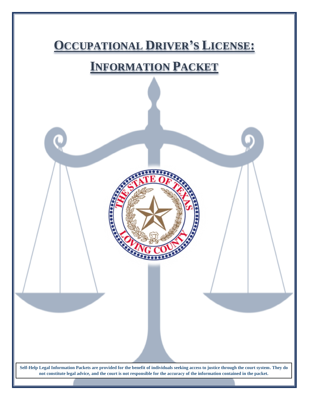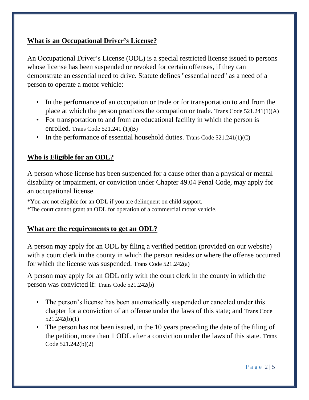## **What is an Occupational Driver's License?**

An Occupational Driver's License (ODL) is a special restricted license issued to persons whose license has been suspended or revoked for certain offenses, if they can demonstrate an essential need to drive. Statute defines "essential need" as a need of a person to operate a motor vehicle:

- In the performance of an occupation or trade or for transportation to and from the place at which the person practices the occupation or trade. Trans Code 521.241(1)(A)
- For transportation to and from an educational facility in which the person is enrolled. Trans Code 521.241 (1)(B)
- In the performance of essential household duties. Trans Code  $521.241(1)(C)$

## **Who is Eligible for an ODL?**

A person whose license has been suspended for a cause other than a physical or mental disability or impairment, or conviction under Chapter 49.04 Penal Code, may apply for an occupational license.

\*You are not eligible for an ODL if you are delinquent on child support.

\*The court cannot grant an ODL for operation of a commercial motor vehicle.

## **What are the requirements to get an ODL?**

A person may apply for an ODL by filing a verified petition (provided on our website) with a court clerk in the county in which the person resides or where the offense occurred for which the license was suspended. Trans Code 521.242(a)

A person may apply for an ODL only with the court clerk in the county in which the person was convicted if: Trans Code 521.242(b)

- The person's license has been automatically suspended or canceled under this chapter for a conviction of an offense under the laws of this state; and Trans Code 521.242(b)(1)
- The person has not been issued, in the 10 years preceding the date of the filing of the petition, more than 1 ODL after a conviction under the laws of this state. Trans Code 521.242(b)(2)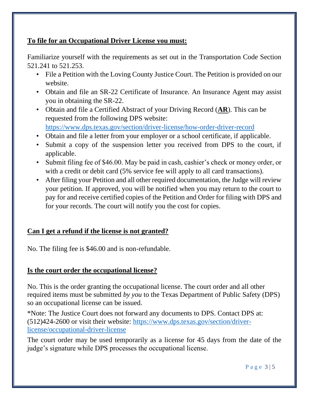## **To file for an Occupational Driver License you must:**

Familiarize yourself with the requirements as set out in the Transportation Code Section 521.241 to 521.253.

- File a Petition with the Loving County Justice Court. The Petition is provided on our website.
- Obtain and file an SR-22 Certificate of Insurance. An Insurance Agent may assist you in obtaining the SR-22.
- Obtain and file a Certified Abstract of your Driving Record (**[AR](http://www.txdps.state.tx.us/DriverLicense/driverrecords.htm)**). This can be requested from the following DPS website: <https://www.dps.texas.gov/section/driver-license/how-order-driver-record>
- Obtain and file a letter from your employer or a school certificate, if applicable.
- Submit a copy of the suspension letter you received from DPS to the court, if applicable.
- Submit filing fee of \$46.00. May be paid in cash, cashier's check or money order, or with a credit or debit card (5% service fee will apply to all card transactions).
- After filing your Petition and all other required documentation, the Judge will review your petition. If approved, you will be notified when you may return to the court to pay for and receive certified copies of the Petition and Order for filing with DPS and for your records. The court will notify you the cost for copies.

# **Can I get a refund if the license is not granted?**

No. The filing fee is \$46.00 and is non-refundable.

## **Is the court order the occupational license?**

No. This is the order granting the occupational license. The court order and all other required items must be submitted *by you* to the Texas Department of Public Safety (DPS) so an occupational license can be issued.

\*Note: The Justice Court does not forward any documents to DPS. Contact DPS at: (512)424-2600 or visit their website: [https://www.dps.texas.gov/section/driver](https://www.dps.texas.gov/section/driver-license/occupational-driver-license)[license/occupational-driver-license](https://www.dps.texas.gov/section/driver-license/occupational-driver-license)

The court order may be used temporarily as a license for 45 days from the date of the judge's signature while DPS processes the occupational license.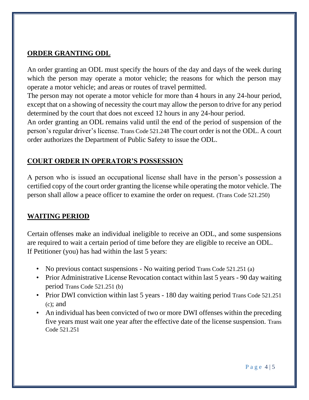## **ORDER GRANTING ODL**

An order granting an ODL must specify the hours of the day and days of the week during which the person may operate a motor vehicle; the reasons for which the person may operate a motor vehicle; and areas or routes of travel permitted.

The person may not operate a motor vehicle for more than 4 hours in any 24-hour period, except that on a showing of necessity the court may allow the person to drive for any period determined by the court that does not exceed 12 hours in any 24-hour period.

An order granting an ODL remains valid until the end of the period of suspension of the person's regular driver's license. Trans Code 521.248 The court order is not the ODL. A court order authorizes the Department of Public Safety to issue the ODL.

# **COURT ORDER IN OPERATOR'S POSSESSION**

A person who is issued an occupational license shall have in the person's possession a certified copy of the court order granting the license while operating the motor vehicle. The person shall allow a peace officer to examine the order on request. (Trans Code 521.250)

## **WAITING PERIOD**

Certain offenses make an individual ineligible to receive an ODL, and some suspensions are required to wait a certain period of time before they are eligible to receive an ODL. If Petitioner (you) has had within the last 5 years:

- No previous contact suspensions No waiting period Trans Code 521.251 (a)
- Prior Administrative License Revocation contact within last 5 years 90 day waiting period Trans Code 521.251 (b)
- Prior DWI conviction within last 5 years 180 day waiting period Trans Code 521.251  $(c)$ ; and
- An individual has been convicted of two or more DWI offenses within the preceding five years must wait one year after the effective date of the license suspension. Trans Code 521.251